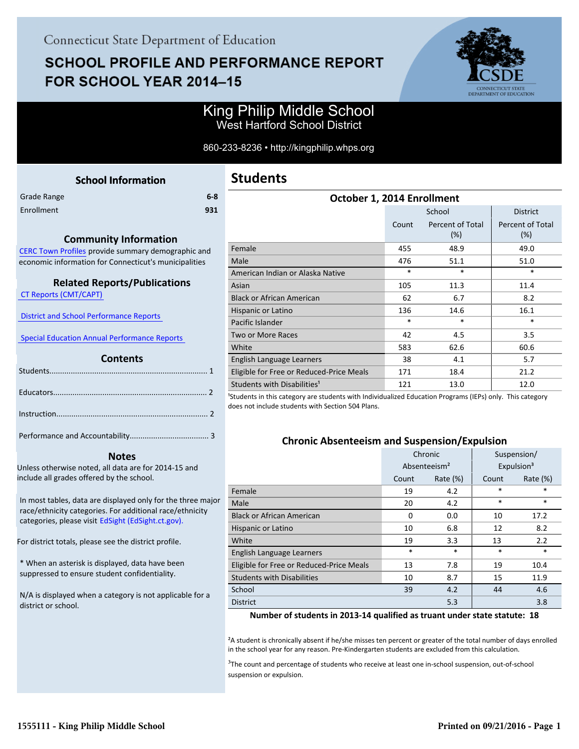# **SCHOOL PROFILE AND PERFORMANCE REPORT** FOR SCHOOL YEAR 2014-15



### King Philip Middle School West Hartford School District

860-233-8236 • http://kingphilip.whps.org

<span id="page-0-0"></span>

| <b>School Information</b>                                                                                                                   |  |
|---------------------------------------------------------------------------------------------------------------------------------------------|--|
| $6-8$<br>Grade Range                                                                                                                        |  |
| Enrollment<br>931                                                                                                                           |  |
| <b>Community Information</b><br>CERC Town Profiles provide summary demographic and<br>economic information for Connecticut's municipalities |  |

### **Related Reports/Publications**

 [CT Reports \(CMT/CAPT\)](http://ctreports.com/) 

 [District and School Performance Reports](http://www.csde.state.ct.us/public/performancereports/reports.asp) 

 [Special Education Annual Performance Reports](http://edsight.ct.gov/SASPortal/main.do) 

#### **Contents**

#### **Notes**

Unless otherwise noted, all data are for 2014-15 and include all grades offered by the school.

[In most tables, data are displayed only for the three major](http://edsight.ct.gov) race/ethnicity categories. For additional race/ethnicity categories, please visit EdSight (EdSight.ct.gov).

For district totals, please see the district profile.

\* When an asterisk is displayed, data have been suppressed to ensure student confidentiality.

N/A is displayed when a category is not applicable for a district or school.

| October 1, 2014 Enrollment               |        |                            |                                |  |  |  |
|------------------------------------------|--------|----------------------------|--------------------------------|--|--|--|
|                                          |        | School                     | <b>District</b>                |  |  |  |
|                                          | Count  | Percent of Total<br>$(\%)$ | <b>Percent of Total</b><br>(%) |  |  |  |
| Female                                   | 455    | 48.9                       | 49.0                           |  |  |  |
| Male                                     | 476    | 51.1                       | 51.0                           |  |  |  |
| American Indian or Alaska Native         | $\ast$ | $\ast$                     | $\ast$                         |  |  |  |
| Asian                                    | 105    | 11.3                       | 11.4                           |  |  |  |
| <b>Black or African American</b>         | 62     | 6.7                        | 8.2                            |  |  |  |
| Hispanic or Latino                       | 136    | 14.6                       | 16.1                           |  |  |  |
| Pacific Islander                         | $\ast$ | $\ast$                     | $\ast$                         |  |  |  |
| Two or More Races                        | 42     | 4.5                        | 3.5                            |  |  |  |
| White                                    | 583    | 62.6                       | 60.6                           |  |  |  |
| English Language Learners                | 38     | 4.1                        | 5.7                            |  |  |  |
| Eligible for Free or Reduced-Price Meals | 171    | 18.4                       | 21.2                           |  |  |  |
| Students with Disabilities <sup>1</sup>  | 121    | 13.0                       | 12.0                           |  |  |  |

<sup>1</sup>Students in this category are students with Individualized Education Programs (IEPs) only. This category does not include students with Section 504 Plans.

#### **Chronic Absenteeism and Suspension/Expulsion**

|                                          | Chronic                  |          | Suspension/ |                        |
|------------------------------------------|--------------------------|----------|-------------|------------------------|
|                                          | Absenteeism <sup>2</sup> |          |             | Expulsion <sup>3</sup> |
|                                          | Count                    | Rate (%) | Count       | Rate $(\%)$            |
| Female                                   | 19                       | 4.2      | $\ast$      | $\ast$                 |
| Male                                     | 20                       | 4.2      | $\ast$      | $\ast$                 |
| <b>Black or African American</b>         | $\Omega$                 | 0.0      | 10          | 17.2                   |
| Hispanic or Latino                       | 10                       | 6.8      | 12          | 8.2                    |
| White                                    | 19                       | 3.3      | 13          | 2.2                    |
| English Language Learners                | $\ast$                   | $\ast$   | $\ast$      | $\ast$                 |
| Eligible for Free or Reduced-Price Meals | 13                       | 7.8      | 19          | 10.4                   |
| <b>Students with Disabilities</b>        | 10                       | 8.7      | 15          | 11.9                   |
| School                                   | 39                       | 4.2      | 44          | 4.6                    |
| <b>District</b>                          |                          | 5.3      |             | 3.8                    |

#### **Number of students in 2013-14 qualified as truant under state statute: 18**

²A student is chronically absent if he/she misses ten percent or greater of the total number of days enrolled in the school year for any reason. Pre-Kindergarten students are excluded from this calculation.

<sup>3</sup>The count and percentage of students who receive at least one in-school suspension, out-of-school suspension or expulsion.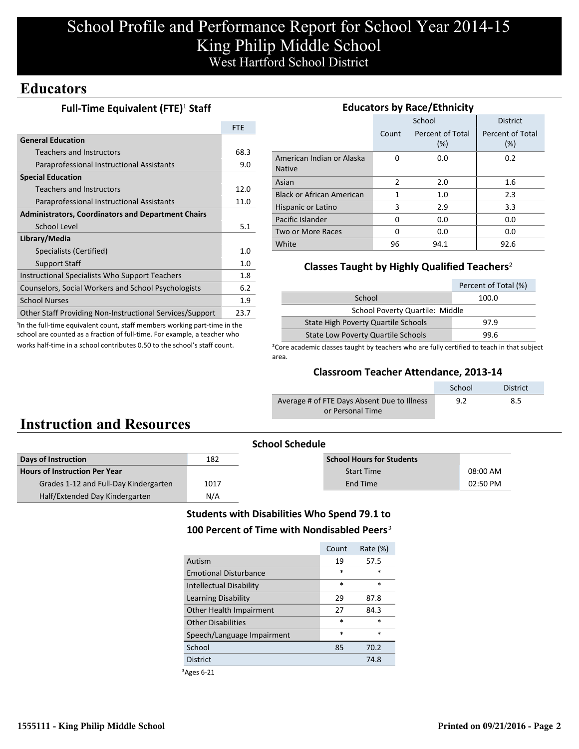# School Profile and Performance Report for School Year 2014-15 King Philip Middle School West Hartford School District

### **Educators**

### **Full-Time Equivalent (FTE)<sup>1</sup> Staff**

|                                                                 | <b>FTE</b> |
|-----------------------------------------------------------------|------------|
| <b>General Education</b>                                        |            |
| Teachers and Instructors                                        | 68.3       |
| Paraprofessional Instructional Assistants                       | 9.0        |
| <b>Special Education</b>                                        |            |
| <b>Teachers and Instructors</b>                                 | 12.0       |
| Paraprofessional Instructional Assistants                       | 11.0       |
| <b>Administrators, Coordinators and Department Chairs</b>       |            |
| School Level                                                    | 5.1        |
| Library/Media                                                   |            |
| Specialists (Certified)                                         | 1.0        |
| Support Staff                                                   | 1.0        |
| Instructional Specialists Who Support Teachers                  | 1.8        |
| Counselors, Social Workers and School Psychologists             | 6.2        |
| <b>School Nurses</b>                                            | 1.9        |
| <b>Other Staff Providing Non-Instructional Services/Support</b> | 23.7       |

<sup>1</sup>In the full-time equivalent count, staff members working part-time in the school are counted as a fraction of full-time. For example, a teacher who works half-time in a school contributes 0.50 to the school's staff count.

| <b>Educators by Race/Ethnicity</b>         |       |                         |                         |  |  |
|--------------------------------------------|-------|-------------------------|-------------------------|--|--|
|                                            |       | School                  | <b>District</b>         |  |  |
|                                            | Count | Percent of Total<br>(%) | Percent of Total<br>(%) |  |  |
| American Indian or Alaska<br><b>Native</b> | O     | 0.0                     | 0.2                     |  |  |
| Asian                                      | 2     | 2.0                     | 1.6                     |  |  |
| <b>Black or African American</b>           | 1     | 1.0                     | 2.3                     |  |  |
| Hispanic or Latino                         | 3     | 2.9                     | 3.3                     |  |  |
| Pacific Islander                           | 0     | 0.0                     | 0.0                     |  |  |
| Two or More Races                          | 0     | 0.0                     | 0.0                     |  |  |
| White                                      | 96    | 94.1                    | 92.6                    |  |  |

### **Classes Taught by Highly Qualified Teachers**²

| Percent of Total (%)                       |      |  |  |  |
|--------------------------------------------|------|--|--|--|
| School<br>100.0                            |      |  |  |  |
| School Poverty Quartile: Middle            |      |  |  |  |
| <b>State High Poverty Quartile Schools</b> | 97.9 |  |  |  |
| <b>State Low Poverty Quartile Schools</b>  | 99 R |  |  |  |

<sup>2</sup>Core academic classes taught by teachers who are fully certified to teach in that subject area.

### **Classroom Teacher Attendance, 2013-14**

|                                             | School | <b>District</b> |
|---------------------------------------------|--------|-----------------|
| Average # of FTE Days Absent Due to Illness | 9.2    | 8.5             |
| or Personal Time                            |        |                 |

# **Instruction and Resources**

|                                       |      | <b>School Schedule</b>           |          |
|---------------------------------------|------|----------------------------------|----------|
| Days of Instruction                   | 182  | <b>School Hours for Students</b> |          |
| <b>Hours of Instruction Per Year</b>  |      | <b>Start Time</b>                | 08:00 AM |
| Grades 1-12 and Full-Day Kindergarten | 1017 | End Time                         | 02:50 PM |
| Half/Extended Day Kindergarten        | N/A  |                                  |          |
|                                       |      |                                  |          |

### **Students with Disabilities Who Spend 79.1 to** 100 Percent of Time with Nondisabled Peers<sup>3</sup>

|                                | Count  | Rate $(\%)$ |
|--------------------------------|--------|-------------|
| Autism                         | 19     | 57.5        |
| <b>Emotional Disturbance</b>   | $\ast$ | $\ast$      |
| <b>Intellectual Disability</b> | $\ast$ | $\ast$      |
| Learning Disability            | 29     | 87.8        |
| Other Health Impairment        | 27     | 84.3        |
| Other Disabilities             | $\ast$ | $\ast$      |
| Speech/Language Impairment     | $\ast$ | $\ast$      |
| School                         | 85     | 70.2        |
| <b>District</b>                |        | 74.8        |
|                                |        |             |

³Ages 6-21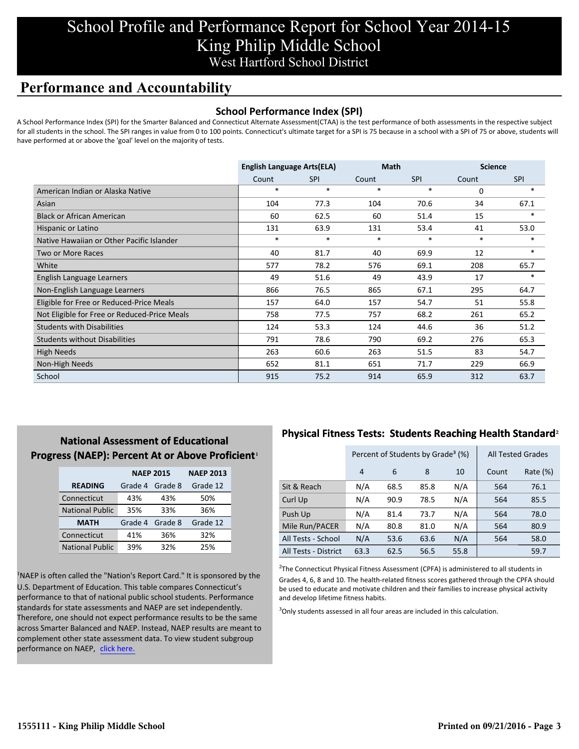## School Profile and Performance Report for School Year 2014-15 King Philip Middle School West Hartford School District

## **Performance and Accountability**

### **School Performance Index (SPI)**

A School Performance Index (SPI) for the Smarter Balanced and Connecticut Alternate Assessment(CTAA) is the test performance of both assessments in the respective subject for all students in the school. The SPI ranges in value from 0 to 100 points. Connecticut's ultimate target for a SPI is 75 because in a school with a SPI of 75 or above, students will have performed at or above the 'goal' level on the majority of tests.

|                                              | <b>English Language Arts(ELA)</b> |            | <b>Math</b> |            | <b>Science</b> |            |
|----------------------------------------------|-----------------------------------|------------|-------------|------------|----------------|------------|
|                                              | Count                             | <b>SPI</b> | Count       | <b>SPI</b> | Count          | <b>SPI</b> |
| American Indian or Alaska Native             | $\ast$                            | $\ast$     | $\ast$      | $\ast$     | 0              | $\ast$     |
| Asian                                        | 104                               | 77.3       | 104         | 70.6       | 34             | 67.1       |
| <b>Black or African American</b>             | 60                                | 62.5       | 60          | 51.4       | 15             | $\ast$     |
| Hispanic or Latino                           | 131                               | 63.9       | 131         | 53.4       | 41             | 53.0       |
| Native Hawaiian or Other Pacific Islander    | $\ast$                            | $\ast$     | $\ast$      | $\ast$     | $\ast$         | $\ast$     |
| Two or More Races                            | 40                                | 81.7       | 40          | 69.9       | 12             | $\ast$     |
| White                                        | 577                               | 78.2       | 576         | 69.1       | 208            | 65.7       |
| English Language Learners                    | 49                                | 51.6       | 49          | 43.9       | 17             | $\ast$     |
| Non-English Language Learners                | 866                               | 76.5       | 865         | 67.1       | 295            | 64.7       |
| Eligible for Free or Reduced-Price Meals     | 157                               | 64.0       | 157         | 54.7       | 51             | 55.8       |
| Not Eligible for Free or Reduced-Price Meals | 758                               | 77.5       | 757         | 68.2       | 261            | 65.2       |
| <b>Students with Disabilities</b>            | 124                               | 53.3       | 124         | 44.6       | 36             | 51.2       |
| <b>Students without Disabilities</b>         | 791                               | 78.6       | 790         | 69.2       | 276            | 65.3       |
| High Needs                                   | 263                               | 60.6       | 263         | 51.5       | 83             | 54.7       |
| Non-High Needs                               | 652                               | 81.1       | 651         | 71.7       | 229            | 66.9       |
| School                                       | 915                               | 75.2       | 914         | 65.9       | 312            | 63.7       |

### **National Assessment of Educational Progress (NAEP): Percent At or Above Proficient1**

|                        | <b>NAEP 2015</b> | <b>NAEP 2013</b> |          |
|------------------------|------------------|------------------|----------|
| <b>READING</b>         | Grade 4          | Grade 8          | Grade 12 |
| Connecticut            | 43%              | 43%              | 50%      |
| <b>National Public</b> | 35%              | 33%              | 36%      |
| <b>MATH</b>            | Grade 4          | Grade 8          | Grade 12 |
| Connecticut            | 41%              | 36%              | 32%      |
| <b>National Public</b> | 39%              | 32%              | 25%      |

<sup>1</sup>NAEP is often called the "Nation's Report Card." It is sponsored by the U.S. Department of Education. This table compares Connecticut's performance to that of national public school students. Performance standards for state assessments and NAEP are set independently. Therefore, one should not expect performance results to be the same across Smarter Balanced and NAEP. Instead, NAEP results are meant to complement other state assessment data. To view student subgroup performance on NAEP, click here.

### **Physical Fitness Tests: Students Reaching Health Standard**²

|                      | Percent of Students by Grade <sup>3</sup> (%) |      |      |      | <b>All Tested Grades</b> |          |
|----------------------|-----------------------------------------------|------|------|------|--------------------------|----------|
|                      | 4                                             | 6    | 8    | 10   | Count                    | Rate (%) |
| Sit & Reach          | N/A                                           | 68.5 | 85.8 | N/A  | 564                      | 76.1     |
| Curl Up              | N/A                                           | 90.9 | 78.5 | N/A  | 564                      | 85.5     |
| Push Up              | N/A                                           | 81.4 | 73.7 | N/A  | 564                      | 78.0     |
| Mile Run/PACER       | N/A                                           | 80.8 | 81.0 | N/A  | 564                      | 80.9     |
| All Tests - School   | N/A                                           | 53.6 | 63.6 | N/A  | 564                      | 58.0     |
| All Tests - District | 63.3                                          | 62.5 | 56.5 | 55.8 |                          | 59.7     |

 $2$ The Connecticut Physical Fitness Assessment (CPFA) is administered to all students in Grades 4, 6, 8 and 10. The health-related fitness scores gathered through the CPFA should be used to educate and motivate children and their families to increase physical activity and develop lifetime fitness habits.

<sup>3</sup>Only students assessed in all four areas are included in this calculation.